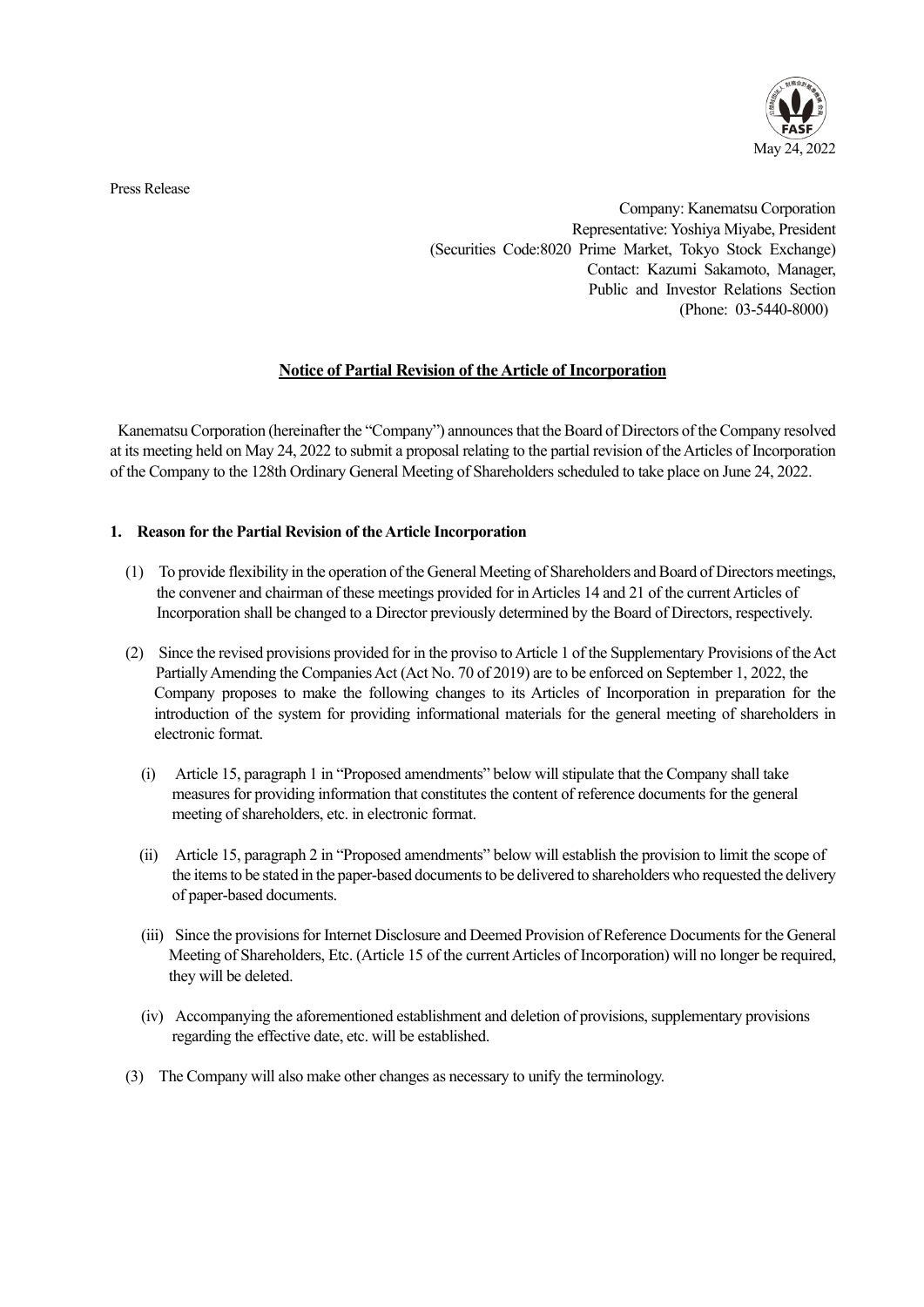

Press Release

 Company: Kanematsu Corporation Representative: Yoshiya Miyabe, President (Securities Code:8020 Prime Market, Tokyo Stock Exchange) Contact: Kazumi Sakamoto, Manager, Public and Investor Relations Section (Phone: 03-5440-8000)

## **Notice of Partial Revision of the Article of Incorporation**

Kanematsu Corporation (hereinafter the "Company") announces that the Board of Directors of the Company resolved at its meeting held on May 24, 2022 to submit a proposal relating to the partial revision of the Articles of Incorporation of the Company to the 128th Ordinary General Meeting of Shareholders scheduled to take place on June 24, 2022.

## **1. Reason for the Partial Revision of the Article Incorporation**

- (1) To provide flexibility in the operation of the General Meeting of Shareholders and Board of Directors meetings, the convener and chairman of these meetings provided for in Articles 14 and 21 of the current Articles of Incorporation shall be changed to a Director previously determined by the Board of Directors, respectively.
- (2) Since the revised provisions provided for in the proviso to Article 1 of the Supplementary Provisions of the Act Partially Amending the Companies Act (Act No. 70 of 2019) are to be enforced on September 1, 2022, the Company proposes to make the following changes to its Articles of Incorporation in preparation for the introduction of the system for providing informational materials for the general meeting of shareholders in electronic format.
	- (i) Article 15, paragraph 1 in "Proposed amendments" below will stipulate that the Company shall take measures for providing information that constitutes the content of reference documents for the general meeting of shareholders, etc. in electronic format.
	- (ii) Article 15, paragraph 2 in "Proposed amendments" below will establish the provision to limit the scope of the items to be stated in the paper-based documents to be delivered to shareholders who requested the delivery of paper-based documents.
	- (iii) Since the provisions for Internet Disclosure and Deemed Provision of Reference Documents for the General Meeting of Shareholders, Etc. (Article 15 of the current Articles of Incorporation) will no longer be required, they will be deleted.
	- (iv) Accompanying the aforementioned establishment and deletion of provisions, supplementary provisions regarding the effective date, etc. will be established.
- (3) The Company will also make other changes as necessary to unify the terminology.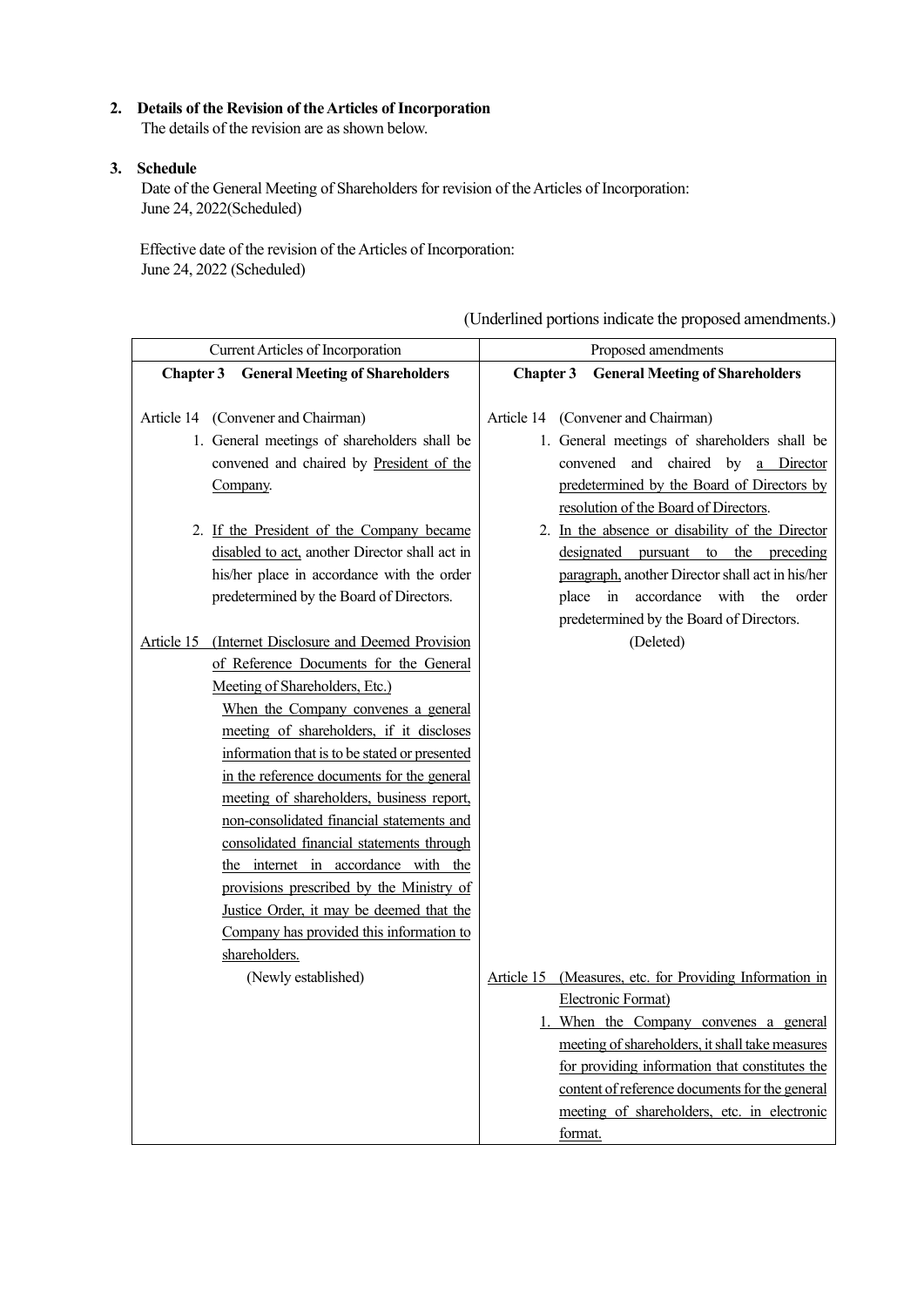## **2. Details of the Revision of the Articles of Incorporation**

The details of the revision are as shown below.

## **3. Schedule**

Date of the General Meeting of Shareholders for revision of the Articles of Incorporation: June 24, 2022(Scheduled)

Effective date of the revision of the Articles of Incorporation: June 24, 2022 (Scheduled)

| Current Articles of Incorporation                       | Proposed amendments                                     |
|---------------------------------------------------------|---------------------------------------------------------|
| <b>Chapter 3 General Meeting of Shareholders</b>        | Chapter 3<br><b>General Meeting of Shareholders</b>     |
|                                                         |                                                         |
| Article 14 (Convener and Chairman)                      | Article 14 (Convener and Chairman)                      |
| 1. General meetings of shareholders shall be            | 1. General meetings of shareholders shall be            |
| convened and chaired by President of the                | convened and chaired by a Director                      |
| Company.                                                | predetermined by the Board of Directors by              |
|                                                         | resolution of the Board of Directors.                   |
| 2. If the President of the Company became               | 2. In the absence or disability of the Director         |
| disabled to act, another Director shall act in          | designated pursuant to the preceding                    |
| his/her place in accordance with the order              | paragraph, another Director shall act in his/her        |
| predetermined by the Board of Directors.                | place in accordance with the order                      |
|                                                         | predetermined by the Board of Directors.                |
| (Internet Disclosure and Deemed Provision<br>Article 15 | (Deleted)                                               |
| of Reference Documents for the General                  |                                                         |
| Meeting of Shareholders, Etc.)                          |                                                         |
| When the Company convenes a general                     |                                                         |
| meeting of shareholders, if it discloses                |                                                         |
| information that is to be stated or presented           |                                                         |
| in the reference documents for the general              |                                                         |
| meeting of shareholders, business report,               |                                                         |
| non-consolidated financial statements and               |                                                         |
| consolidated financial statements through               |                                                         |
| the internet in accordance with the                     |                                                         |
| provisions prescribed by the Ministry of                |                                                         |
| Justice Order, it may be deemed that the                |                                                         |
| Company has provided this information to                |                                                         |
| shareholders.                                           |                                                         |
| (Newly established)                                     | Article 15 (Measures, etc. for Providing Information in |
|                                                         | Electronic Format)                                      |
|                                                         | 1. When the Company convenes a general                  |
|                                                         | meeting of shareholders, it shall take measures         |
|                                                         | for providing information that constitutes the          |
|                                                         | content of reference documents for the general          |
|                                                         | meeting of shareholders, etc. in electronic             |
|                                                         | format.                                                 |

(Underlined portions indicate the proposed amendments.)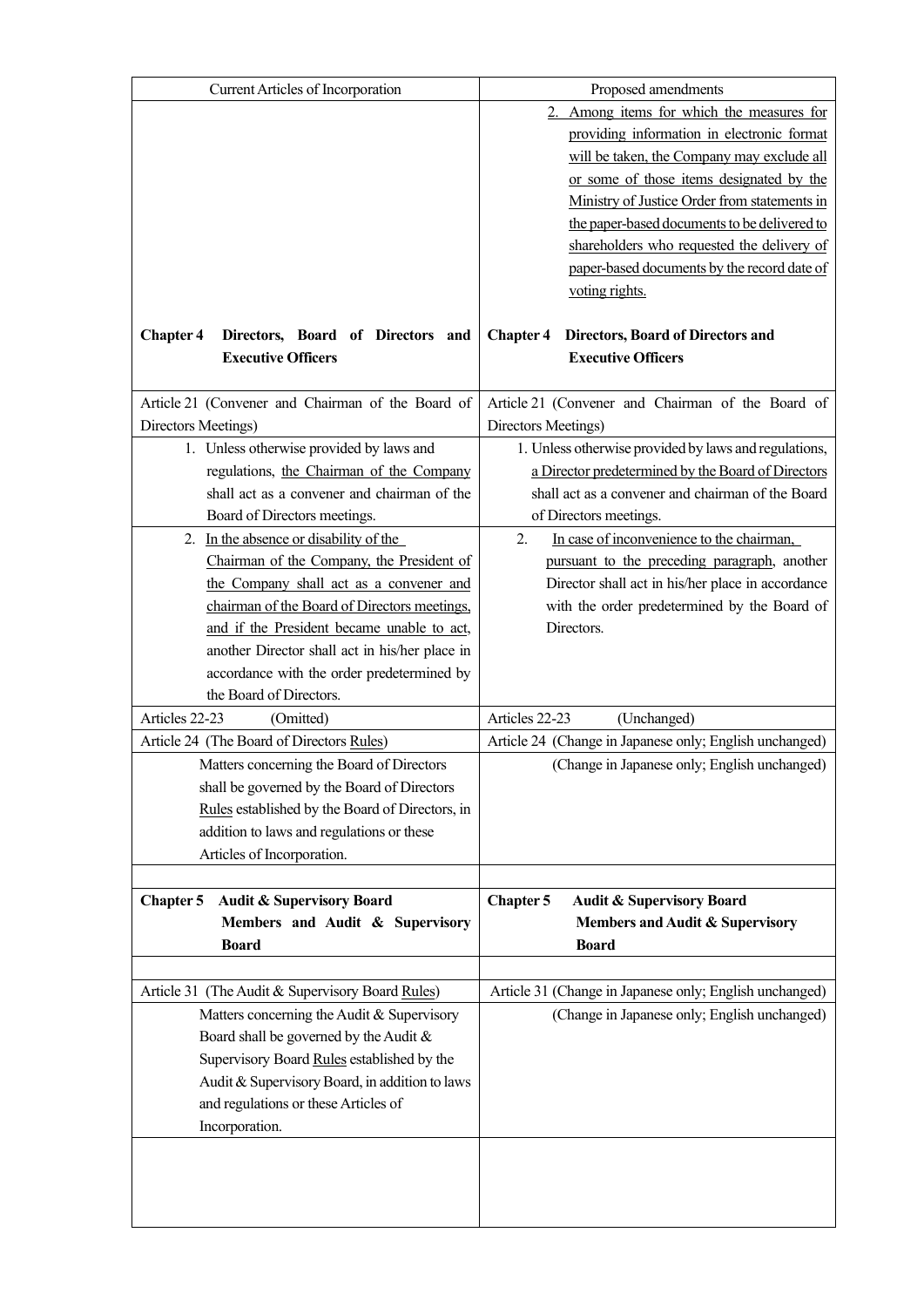| Current Articles of Incorporation                                                              | Proposed amendments                                                                |
|------------------------------------------------------------------------------------------------|------------------------------------------------------------------------------------|
|                                                                                                | Among items for which the measures for                                             |
|                                                                                                | providing information in electronic format                                         |
|                                                                                                | will be taken, the Company may exclude all                                         |
|                                                                                                | or some of those items designated by the                                           |
|                                                                                                | Ministry of Justice Order from statements in                                       |
|                                                                                                | the paper-based documents to be delivered to                                       |
|                                                                                                | shareholders who requested the delivery of                                         |
|                                                                                                | paper-based documents by the record date of                                        |
|                                                                                                | voting rights.                                                                     |
|                                                                                                |                                                                                    |
| Directors, Board of Directors and<br><b>Chapter 4</b><br><b>Executive Officers</b>             | Directors, Board of Directors and<br><b>Chapter 4</b><br><b>Executive Officers</b> |
|                                                                                                |                                                                                    |
| Article 21 (Convener and Chairman of the Board of                                              | Article 21 (Convener and Chairman of the Board of                                  |
| Directors Meetings)                                                                            | Directors Meetings)                                                                |
| 1. Unless otherwise provided by laws and                                                       | 1. Unless otherwise provided by laws and regulations,                              |
| regulations, the Chairman of the Company                                                       | a Director predetermined by the Board of Directors                                 |
| shall act as a convener and chairman of the                                                    | shall act as a convener and chairman of the Board                                  |
| Board of Directors meetings.                                                                   | of Directors meetings.                                                             |
| 2. In the absence or disability of the                                                         | In case of inconvenience to the chairman,<br>2.                                    |
| Chairman of the Company, the President of                                                      | pursuant to the preceding paragraph, another                                       |
| the Company shall act as a convener and                                                        | Director shall act in his/her place in accordance                                  |
| chairman of the Board of Directors meetings,                                                   | with the order predetermined by the Board of                                       |
| and if the President became unable to act,                                                     | Directors.                                                                         |
| another Director shall act in his/her place in                                                 |                                                                                    |
| accordance with the order predetermined by                                                     |                                                                                    |
| the Board of Directors.                                                                        |                                                                                    |
| Articles 22-23<br>(Omitted)                                                                    | Articles 22-23<br>(Unchanged)                                                      |
| Article 24 (The Board of Directors Rules)                                                      | Article 24 (Change in Japanese only; English unchanged)                            |
| Matters concerning the Board of Directors                                                      | (Change in Japanese only; English unchanged)                                       |
| shall be governed by the Board of Directors<br>Rules established by the Board of Directors, in |                                                                                    |
| addition to laws and regulations or these                                                      |                                                                                    |
| Articles of Incorporation.                                                                     |                                                                                    |
|                                                                                                |                                                                                    |
| <b>Audit &amp; Supervisory Board</b><br><b>Chapter 5</b>                                       | Chapter 5<br><b>Audit &amp; Supervisory Board</b>                                  |
| Members and Audit & Supervisory                                                                | Members and Audit & Supervisory                                                    |
| <b>Board</b>                                                                                   | <b>Board</b>                                                                       |
|                                                                                                |                                                                                    |
| Article 31 (The Audit & Supervisory Board Rules)                                               | Article 31 (Change in Japanese only; English unchanged)                            |
| Matters concerning the Audit & Supervisory                                                     | (Change in Japanese only; English unchanged)                                       |
| Board shall be governed by the Audit &                                                         |                                                                                    |
| Supervisory Board Rules established by the                                                     |                                                                                    |
| Audit & Supervisory Board, in addition to laws                                                 |                                                                                    |
| and regulations or these Articles of                                                           |                                                                                    |
| Incorporation.                                                                                 |                                                                                    |
|                                                                                                |                                                                                    |
|                                                                                                |                                                                                    |
|                                                                                                |                                                                                    |